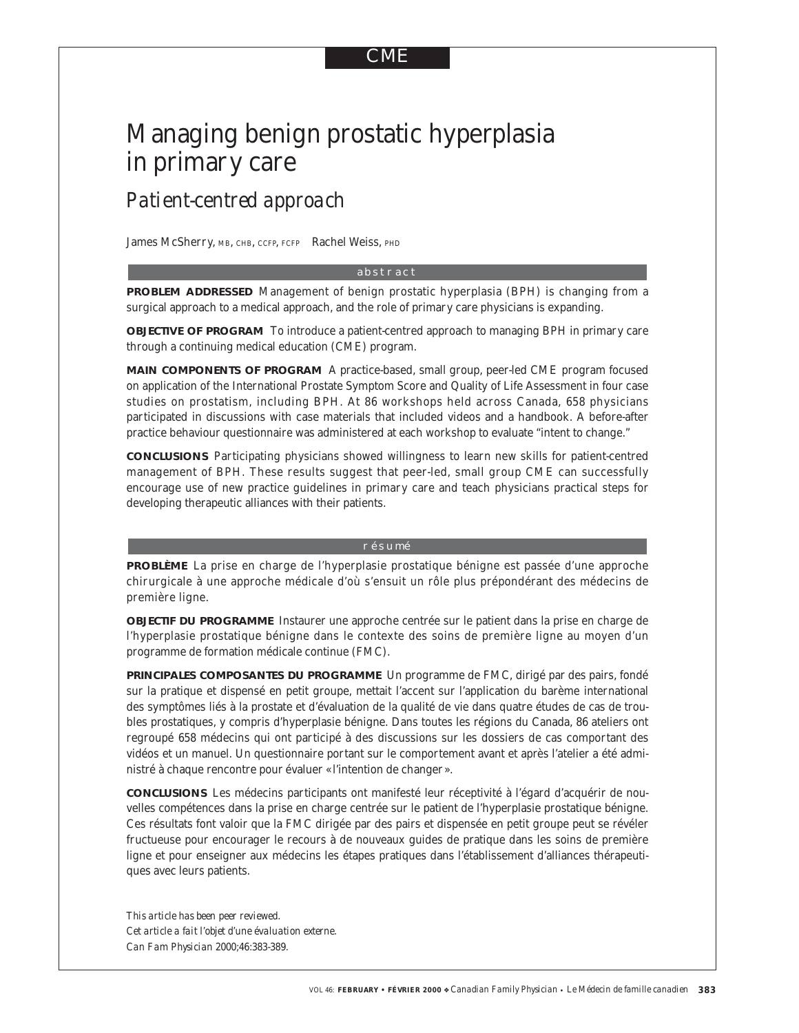# CME

# Managing benign prostatic hyperplasia in primary care

# *Patient-centred approach*

James McSherry, MB, CHB, CCFP, FCFP Rachel Weiss, PHD

#### abstract

**PROBLEM ADDRESSED** Management of benign prostatic hyperplasia (BPH) is changing from a surgical approach to a medical approach, and the role of primary care physicians is expanding.

**OBJECTIVE OF PROGRAM** To introduce a patient-centred approach to managing BPH in primary care through a continuing medical education (CME) program.

**MAIN COMPONENTS OF PROGRAM** A practice-based, small group, peer-led CME program focused on application of the International Prostate Symptom Score and Quality of Life Assessment in four case studies on prostatism, including BPH. At 86 workshops held across Canada, 658 physicians participated in discussions with case materials that included videos and a handbook. A before-after practice behaviour questionnaire was administered at each workshop to evaluate "intent to change."

**CONCLUSIONS** Participating physicians showed willingness to learn new skills for patient-centred management of BPH. These results suggest that peer-led, small group CME can successfully encourage use of new practice guidelines in primary care and teach physicians practical steps for developing therapeutic alliances with their patients.

#### résumé

**PROBLÈME** La prise en charge de l'hyperplasie prostatique bénigne est passée d'une approche chirurgicale à une approche médicale d'où s'ensuit un rôle plus prépondérant des médecins de première ligne.

**OBJECTIF DU PROGRAMME** Instaurer une approche centrée sur le patient dans la prise en charge de l'hyperplasie prostatique bénigne dans le contexte des soins de première ligne au moyen d'un programme de formation médicale continue (FMC).

PRINCIPALES COMPOSANTES DU PROGRAMME Un programme de FMC, dirigé par des pairs, fondé sur la pratique et dispensé en petit groupe, mettait l'accent sur l'application du barème international des symptômes liés à la prostate et d'évaluation de la qualité de vie dans quatre études de cas de troubles prostatiques, y compris d'hyperplasie bénigne. Dans toutes les régions du Canada, 86 ateliers ont regroupé 658 médecins qui ont participé à des discussions sur les dossiers de cas comportant des vidéos et un manuel. Un questionnaire portant sur le comportement avant et après l'atelier a été administré à chaque rencontre pour évaluer « l'intention de changer ».

**CONCLUSIONS** Les médecins participants ont manifesté leur réceptivité à l'égard d'acquérir de nouvelles compétences dans la prise en charge centrée sur le patient de l'hyperplasie prostatique bénigne. Ces résultats font valoir que la FMC dirigée par des pairs et dispensée en petit groupe peut se révéler fructueuse pour encourager le recours à de nouveaux guides de pratique dans les soins de première ligne et pour enseigner aux médecins les étapes pratiques dans l'établissement d'alliances thérapeutiques avec leurs patients.

*This article has been peer reviewed. Cet article a fait l'objet d'une évaluation externe*. *Can Fam Physician* 2000;46:383-389.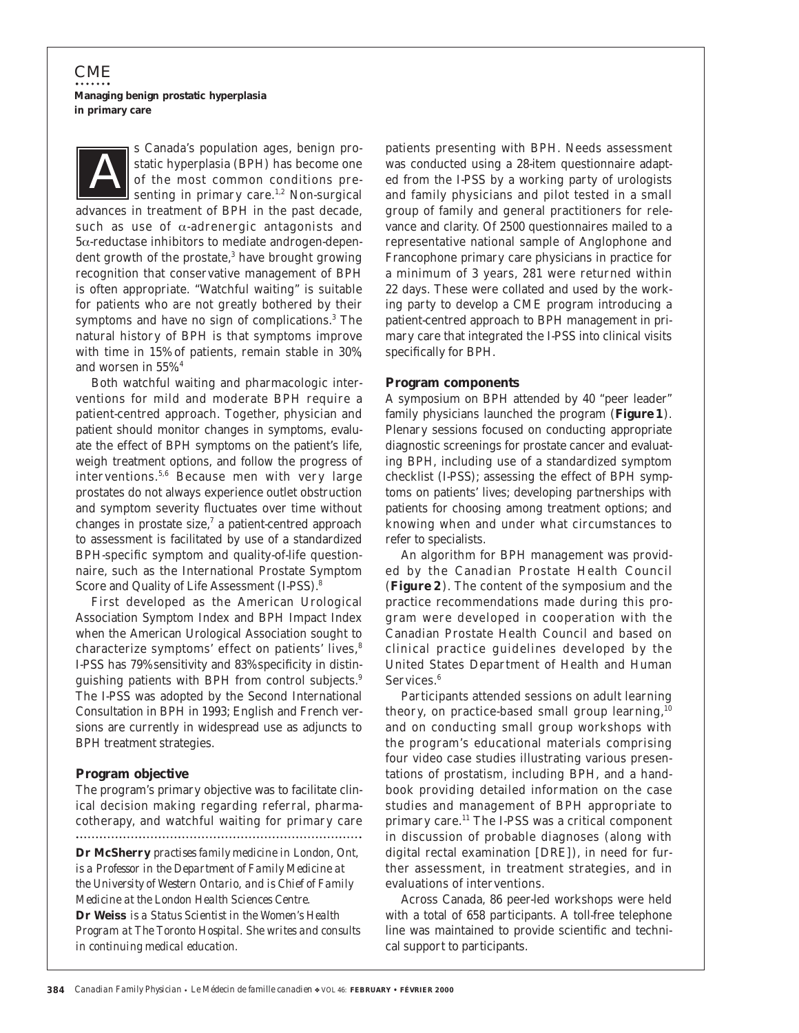s Canada's population ages, benign prostatic hyperplasia (BPH) has become one of the most common conditions presenting in primary care.<sup>1,2</sup> Non-surgical advances in treatment of BPH in the past decade, such as use of  $\alpha$ -adrenergic antagonists and 5α-reductase inhibitors to mediate androgen-dependent growth of the prostate,<sup>3</sup> have brought growing recognition that conservative management of BPH is often appropriate. "Watchful waiting" is suitable for patients who are not greatly bothered by their symptoms and have no sign of complications.<sup>3</sup> The natural history of BPH is that symptoms improve with time in 15% of patients, remain stable in 30%, and worsen in 55%.4 *A*

Both watchful waiting and pharmacologic interventions for mild and moderate BPH require a patient-centred approach. Together, physician and patient should monitor changes in symptoms, evaluate the effect of BPH symptoms on the patient's life, weigh treatment options, and follow the progress of interventions.5,6 Because men with very large prostates do not always experience outlet obstruction and symptom severity fluctuates over time without changes in prostate size, $^7$  a patient-centred approach to assessment is facilitated by use of a standardized BPH-specific symptom and quality-of-life questionnaire, such as the International Prostate Symptom Score and Quality of Life Assessment (I-PSS).<sup>8</sup>

First developed as the American Urological Association Symptom Index and BPH Impact Index when the American Urological Association sought to characterize symptoms' effect on patients' lives,<sup>8</sup> I-PSS has 79% sensitivity and 83% specificity in distinguishing patients with BPH from control subjects.<sup>9</sup> The I-PSS was adopted by the Second International Consultation in BPH in 1993; English and French versions are currently in widespread use as adjuncts to BPH treatment strategies.

#### **Program objective**

The program's primary objective was to facilitate clinical decision making regarding referral, pharmacotherapy, and watchful waiting for primary care 

**Dr McSherry** *practises family medicine in London, Ont, is a Professor in the Department of Family Medicine at the University of Western Ontario, and is Chief of Family Medicine at the London Health Sciences Centre.* **Dr Weiss** *is a Status Scientist in the Women's Health Program at The Toronto Hospital. She writes and consults in continuing medical education.*

patients presenting with BPH. Needs assessment was conducted using a 28-item questionnaire adapted from the I-PSS by a working party of urologists and family physicians and pilot tested in a small group of family and general practitioners for relevance and clarity. Of 2500 questionnaires mailed to a representative national sample of Anglophone and Francophone primary care physicians in practice for a minimum of 3 years, 281 were returned within 22 days. These were collated and used by the working party to develop a CME program introducing a patient-centred approach to BPH management in primary care that integrated the I-PSS into clinical visits specifically for BPH.

#### **Program components**

A symposium on BPH attended by 40 "peer leader" family physicians launched the program (**Figure 1**). Plenary sessions focused on conducting appropriate diagnostic screenings for prostate cancer and evaluating BPH, including use of a standardized symptom checklist (I-PSS); assessing the effect of BPH symptoms on patients' lives; developing partnerships with patients for choosing among treatment options; and knowing when and under what circumstances to refer to specialists.

An algorithm for BPH management was provided by the Canadian Prostate Health Council (**Figure 2**). The content of the symposium and the practice recommendations made during this program were developed in cooperation with the Canadian Prostate Health Council and based on clinical practice guidelines developed by the United States Department of Health and Human Services.<sup>6</sup>

Participants attended sessions on adult learning theory, on practice-based small group learning,  $10$ and on conducting small group workshops with the program's educational materials comprising four video case studies illustrating various presentations of prostatism, including BPH, and a handbook providing detailed information on the case studies and management of BPH appropriate to primary care.<sup>11</sup> The I-PSS was a critical component in discussion of probable diagnoses (along with digital rectal examination [DRE]), in need for further assessment, in treatment strategies, and in evaluations of interventions.

Across Canada, 86 peer-led workshops were held with a total of 658 participants. A toll-free telephone line was maintained to provide scientific and technical support to participants.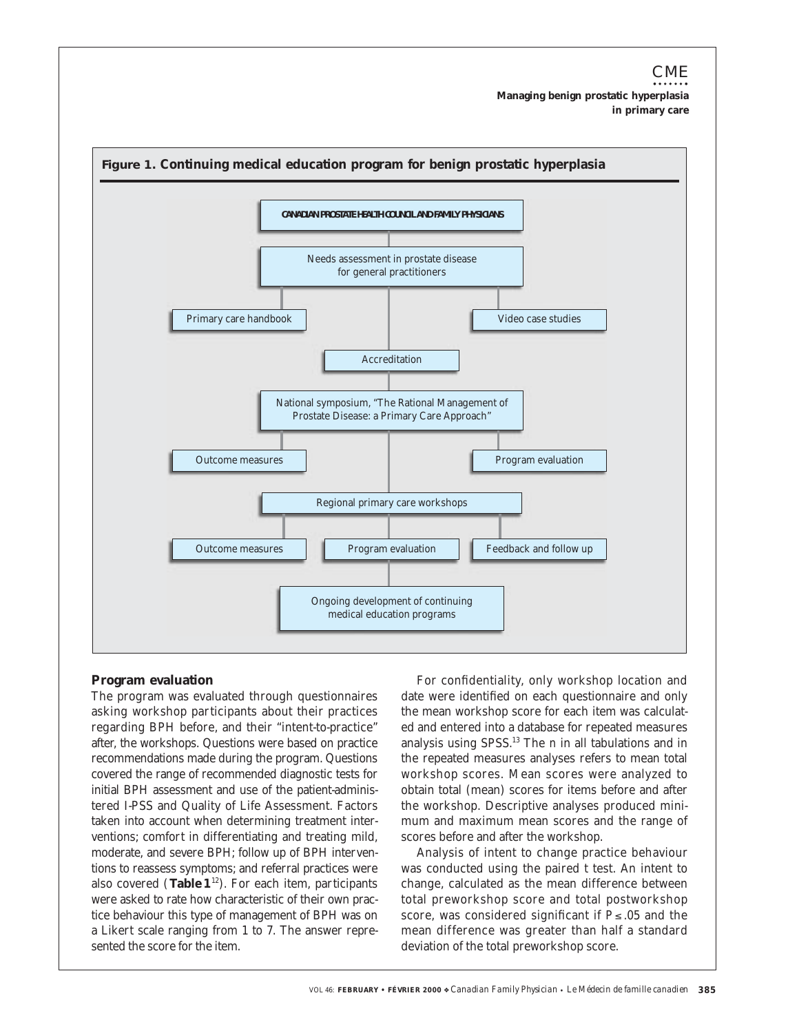

#### **Program evaluation**

The program was evaluated through questionnaires asking workshop participants about their practices regarding BPH before, and their "intent-to-practice" after, the workshops. Questions were based on practice recommendations made during the program. Questions covered the range of recommended diagnostic tests for initial BPH assessment and use of the patient-administered I-PSS and Quality of Life Assessment. Factors taken into account when determining treatment interventions; comfort in differentiating and treating mild, moderate, and severe BPH; follow up of BPH interventions to reassess symptoms; and referral practices were also covered (**Table 1**<sup>12</sup>). For each item, participants were asked to rate how characteristic of their own practice behaviour this type of management of BPH was on a Likert scale ranging from 1 to 7. The answer represented the score for the item.

For confidentiality, only workshop location and date were identified on each questionnaire and only the mean workshop score for each item was calculated and entered into a database for repeated measures analysis using SPSS.13 The *n* in all tabulations and in the repeated measures analyses refers to mean total workshop scores. Mean scores were analyzed to obtain total (mean) scores for items before and after the workshop. Descriptive analyses produced minimum and maximum mean scores and the range of scores before and after the workshop.

Analysis of intent to change practice behaviour was conducted using the paired *t* test. An intent to change, calculated as the mean difference between total preworkshop score and total postworkshop score, was considered significant if  $P \le 0.05$  and the mean difference was greater than half a standard deviation of the total preworkshop score.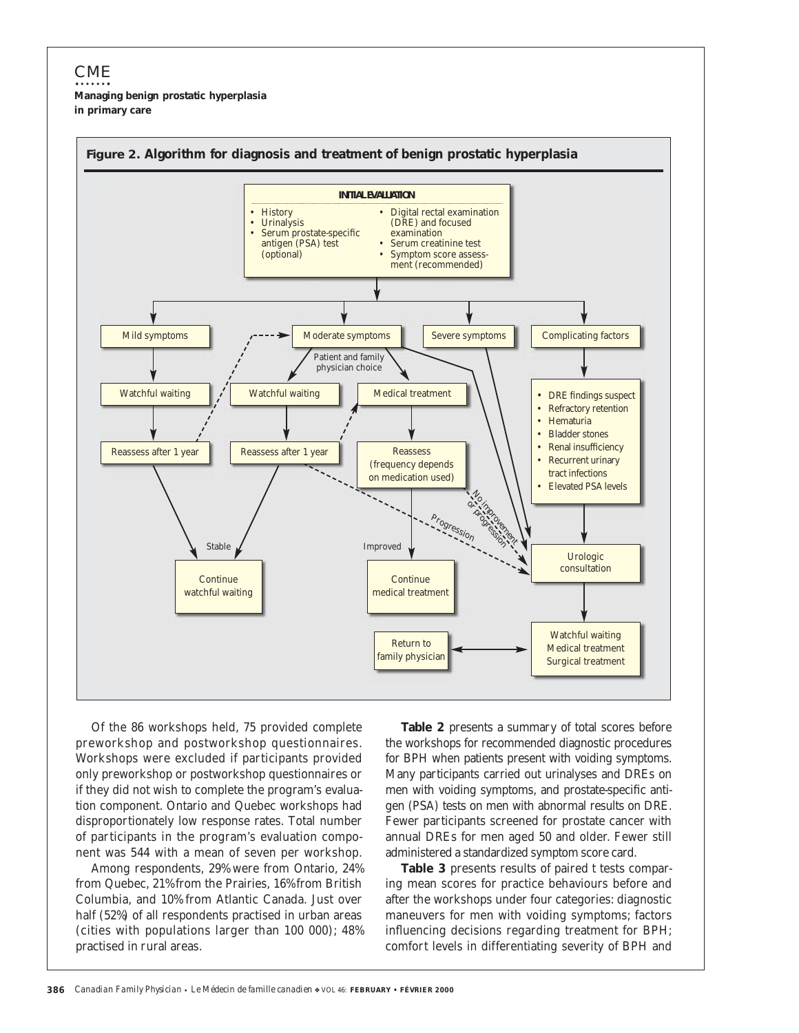

Of the 86 workshops held, 75 provided complete preworkshop and postworkshop questionnaires. Workshops were excluded if participants provided only preworkshop or postworkshop questionnaires or if they did not wish to complete the program's evaluation component. Ontario and Quebec workshops had disproportionately low response rates. Total number of participants in the program's evaluation component was 544 with a mean of seven per workshop.

Among respondents, 29% were from Ontario, 24% from Quebec, 21% from the Prairies, 16% from British Columbia, and 10% from Atlantic Canada. Just over half (52%) of all respondents practised in urban areas (cities with populations larger than 100 000); 48% practised in rural areas.

**Table 2** presents a summary of total scores before the workshops for recommended diagnostic procedures for BPH when patients present with voiding symptoms. Many participants carried out urinalyses and DREs on men with voiding symptoms, and prostate-specific antigen (PSA) tests on men with abnormal results on DRE. Fewer participants screened for prostate cancer with annual DREs for men aged 50 and older. Fewer still administered a standardized symptom score card.

**Table 3** presents results of paired *t* tests comparing mean scores for practice behaviours before and after the workshops under four categories: diagnostic maneuvers for men with voiding symptoms; factors influencing decisions regarding treatment for BPH; comfort levels in differentiating severity of BPH and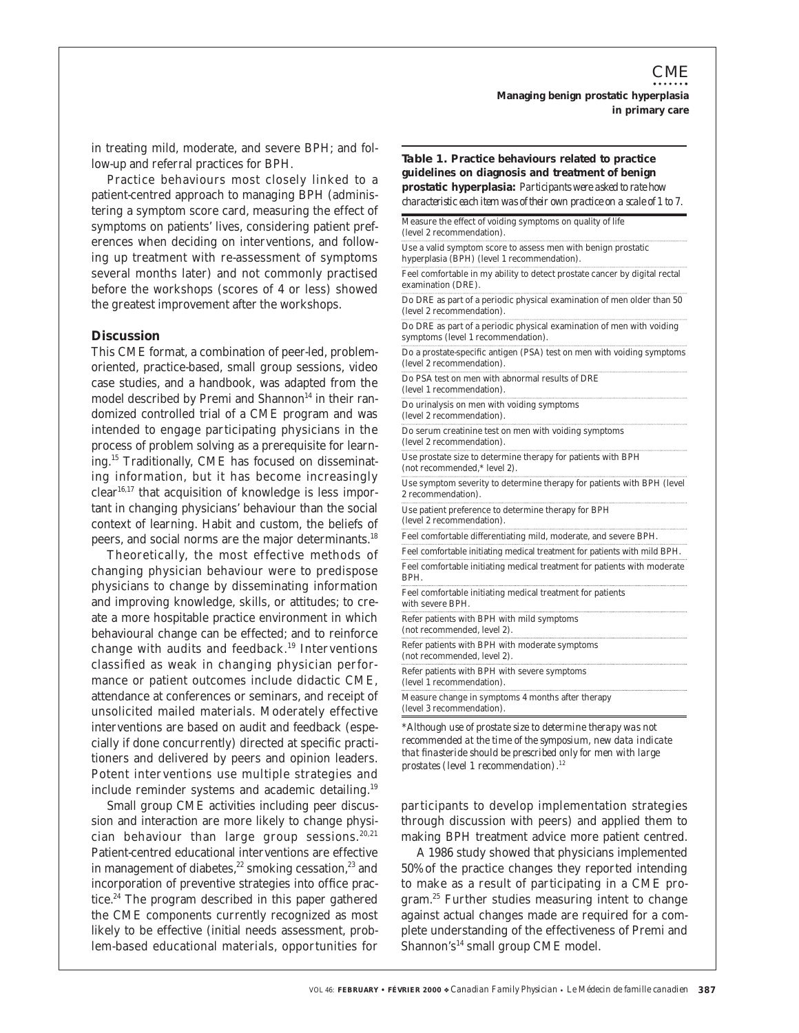in treating mild, moderate, and severe BPH; and follow-up and referral practices for BPH.

Practice behaviours most closely linked to a patient-centred approach to managing BPH (administering a symptom score card, measuring the effect of symptoms on patients' lives, considering patient preferences when deciding on interventions, and following up treatment with re-assessment of symptoms several months later) and not commonly practised before the workshops (scores of 4 or less) showed the greatest improvement after the workshops.

#### **Discussion**

This CME format, a combination of peer-led, problemoriented, practice-based, small group sessions, video case studies, and a handbook, was adapted from the model described by Premi and Shannon $14$  in their randomized controlled trial of a CME program and was intended to engage participating physicians in the process of problem solving as a prerequisite for learning.15 Traditionally, CME has focused on disseminating information, but it has become increasingly  $clear<sup>16,17</sup>$  that acquisition of knowledge is less important in changing physicians' behaviour than the social context of learning. Habit and custom, the beliefs of peers, and social norms are the major determinants.18

Theoretically, the most effective methods of changing physician behaviour were to predispose physicians to change by disseminating information and improving knowledge, skills, or attitudes; to create a more hospitable practice environment in which behavioural change can be effected; and to reinforce change with audits and feedback.19 Interventions classified as weak in changing physician performance or patient outcomes include didactic CME, attendance at conferences or seminars, and receipt of unsolicited mailed materials. Moderately effective interventions are based on audit and feedback (especially if done concurrently) directed at specific practitioners and delivered by peers and opinion leaders. Potent interventions use multiple strategies and include reminder systems and academic detailing.19

Small group CME activities including peer discussion and interaction are more likely to change physician behaviour than large group sessions.<sup>20,21</sup> Patient-centred educational interventions are effective in management of diabetes, $22$  smoking cessation, $23$  and incorporation of preventive strategies into office practice.<sup>24</sup> The program described in this paper gathered the CME components currently recognized as most likely to be effective (initial needs assessment, problem-based educational materials, opportunities for

**Table 1. Practice behaviours related to practice guidelines on diagnosis and treatment of benign prostatic hyperplasia:** *Participants were asked to rate how characteristic each item was of their own practice on a scale of 1 to 7.* Measure the effect of voiding symptoms on quality of life (level 2 recommendation). Use a valid symptom score to assess men with benign prostatic hyperplasia (BPH) (level 1 recommendation). Feel comfortable in my ability to detect prostate cancer by digital rectal examination (DRE). Do DRE as part of a periodic physical examination of men older than 50 (level 2 recommendation). Do DRE as part of a periodic physical examination of men with voiding symptoms (level 1 recommendation). Do a prostate-specific antigen (PSA) test on men with voiding symptoms (level 2 recommendation). Do PSA test on men with abnormal results of DRE (level 1 recommendation). Do urinalysis on men with voiding symptoms (level 2 recommendation). Do serum creatinine test on men with voiding symptoms (level 2 recommendation). Use prostate size to determine therapy for patients with BPH (not recommended,\* level 2). Use symptom severity to determine therapy for patients with BPH (level 2 recommendation). Use patient preference to determine therapy for BPH (level 2 recommendation). Feel comfortable differentiating mild, moderate, and severe BPH. Feel comfortable initiating medical treatment for patients with mild BPH. Feel comfortable initiating medical treatment for patients with moderate BPH. Feel comfortable initiating medical treatment for patients with severe BPH. Refer patients with BPH with mild symptoms (not recommended, level 2). Refer patients with BPH with moderate symptoms (not recommended, level 2). Refer patients with BPH with severe symptoms (level 1 recommendation). Measure change in symptoms 4 months after therapy (level 3 recommendation).

\**Although use of prostate size to determine therapy was not recommended at the time of the symposium, new data indicate that finasteride should be prescribed only for men with large prostates (level 1 recommendation).12*

participants to develop implementation strategies through discussion with peers) and applied them to making BPH treatment advice more patient centred.

A 1986 study showed that physicians implemented 50% of the practice changes they reported intending to make as a result of participating in a CME program.<sup>25</sup> Further studies measuring intent to change against actual changes made are required for a complete understanding of the effectiveness of Premi and Shannon's<sup>14</sup> small group CME model.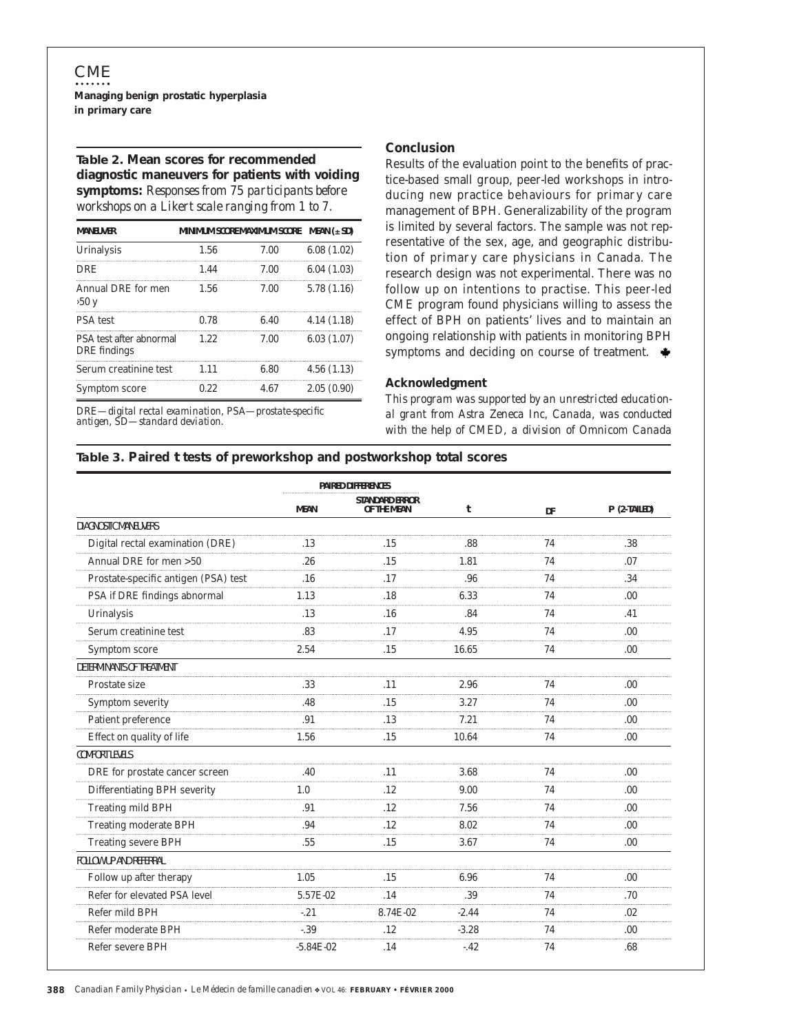### **Table 2. Mean scores for recommended diagnostic maneuvers for patients with voiding symptoms:** *Responses from 75 participants before workshops on a Likert scale ranging from 1 to 7.*

| <b>MANEUVER</b>                         | <b>MINIMUM SCORE MAXIMUM SCORE</b> | $MEAN$ ( $\pm SD$ ) |            |
|-----------------------------------------|------------------------------------|---------------------|------------|
| Urinalysis                              | 1.56                               | 7.00                | 6.08(1.02) |
| DRE                                     | 1.44                               | 7.00                | 6.04(1.03) |
| Annual DRE for men<br>50y               | 1.56                               | 7.00                | 5.78(1.16) |
| <b>PSA</b> test                         | 0.78                               | 6.40                | 4.14(1.18) |
| PSA test after abnormal<br>DRE findings | 122                                | 7.00                | 6.03(1.07) |
| Serum creatinine test                   | 1.11                               | 6.80                | 4.56(1.13) |
| Symptom score                           | 0.22                               | 4.67                | 2.05(0.90) |

DRE*—digital rectal examination,* PSA*—prostate-specific antigen,* SD*—standard deviation.*

#### **Conclusion**

Results of the evaluation point to the benefits of practice-based small group, peer-led workshops in introducing new practice behaviours for primary care management of BPH. Generalizability of the program is limited by several factors. The sample was not representative of the sex, age, and geographic distribution of primary care physicians in Canada. The research design was not experimental. There was no follow up on intentions to practise. This peer-led CME program found physicians willing to assess the effect of BPH on patients' lives and to maintain an ongoing relationship with patients in monitoring BPH symptoms and deciding on course of treatment.  $\triangleq$ 

#### **Acknowledgment**

*This program was supported by an unrestricted educational grant from Astra Zeneca Inc, Canada, was conducted with the help of CMED, a division of Omnicom Canada*

### **Table 3. Paired** *t* **tests of preworkshop and postworkshop total scores**

|                                      | <b>PAIRED DIFFERENCES</b> |                                      |         |    |              |
|--------------------------------------|---------------------------|--------------------------------------|---------|----|--------------|
|                                      | <b>MEAN</b>               | <b>STANDARD ERROR</b><br>OF THE MEAN | t       | DF | P (2-TAILED) |
| <b>DIAGNOSTIC MANEUVERS</b>          |                           |                                      |         |    |              |
| Digital rectal examination (DRE)     | .13                       | .15                                  | .88     | 74 | .38          |
| Annual DRE for men > 50              | .26                       | .15                                  | 1.81    | 74 | .07          |
| Prostate-specific antigen (PSA) test | .16                       | .17                                  | .96     | 74 | .34          |
| PSA if DRE findings abnormal         | 1.13                      | .18                                  | 6.33    | 74 | .00.         |
| Urinalysis                           | .13                       | .16                                  | .84     | 74 | .41          |
| Serum creatinine test                | .83                       | .17                                  | 4.95    | 74 | .00.         |
| Symptom score                        | 2.54                      | .15                                  | 16.65   | 74 | .00          |
| DETERMINANTS OF TREATMENT            |                           |                                      |         |    |              |
| Prostate size                        | .33                       | .11                                  | 2.96    | 74 | .00          |
| Symptom severity                     | .48                       | .15                                  | 3.27    | 74 | .00.         |
| Patient preference                   | .91                       | .13                                  | 7.21    | 74 | .00.         |
| Effect on quality of life            | 1.56                      | .15                                  | 10.64   | 74 | .00          |
| <b>COMFORT LEVELS</b>                |                           |                                      |         |    |              |
| DRE for prostate cancer screen       | .40                       | .11                                  | 3.68    | 74 | .00.         |
| Differentiating BPH severity         | 1.0                       | .12.                                 | 9.00    | 74 | .00          |
| <b>Treating mild BPH</b>             | .91                       | .12                                  | 7.56    | 74 | .00.         |
| <b>Treating moderate BPH</b>         | .94                       | .12                                  | 8.02    | 74 | .00.         |
| <b>Treating severe BPH</b>           | .55                       | .15                                  | 3.67    | 74 | .00.         |
| <b>FOLLOW UP AND REFERRAL</b>        |                           |                                      |         |    |              |
| Follow up after therapy              | 1.05                      | .15                                  | 6.96    | 74 | .00.         |
| Refer for elevated PSA level         | 5.57E-02                  | .14                                  | .39     | 74 | .70          |
| Refer mild BPH                       | $-21$                     | 8.74E-02                             | $-2.44$ | 74 | .02          |
| Refer moderate BPH                   | $-39$                     | .12                                  | $-3.28$ | 74 | .00          |
| Refer severe BPH                     | $-5.84E-02$               | .14                                  | $-42$   | 74 | .68          |